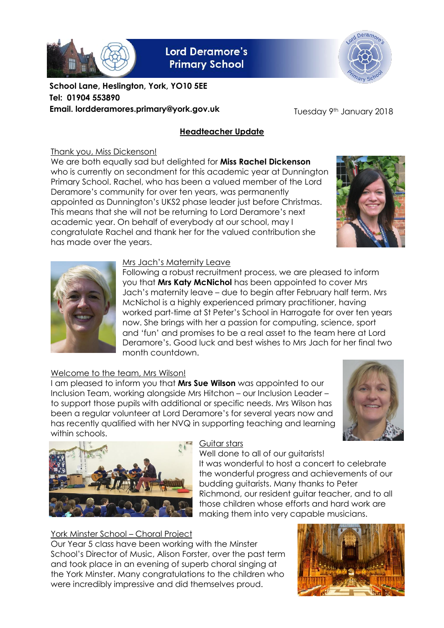

**Lord Deramore's Primary School** 



**School Lane, Heslington, York, YO10 5EE Tel: 01904 553890 Email. lordderamores.primary@york.gov.uk**

Tuesday 9th January 2018

## **Headteacher Update**

### Thank you, Miss Dickenson!

We are both equally sad but delighted for **Miss Rachel Dickenson** who is currently on secondment for this academic year at Dunnington Primary School. Rachel, who has been a valued member of the Lord Deramore's community for over ten years, was permanently appointed as Dunnington's UKS2 phase leader just before Christmas. This means that she will not be returning to Lord Deramore's next academic year. On behalf of everybody at our school, may I congratulate Rachel and thank her for the valued contribution she has made over the years.



Following a robust recruitment process, we are pleased to inform you that **Mrs Katy McNichol** has been appointed to cover Mrs Jach's maternity leave – due to begin after February half term. Mrs McNichol is a highly experienced primary practitioner, having worked part-time at St Peter's School in Harrogate for over ten years now. She brings with her a passion for computing, science, sport and 'fun' and promises to be a real asset to the team here at Lord Deramore's. Good luck and best wishes to Mrs Jach for her final two month countdown.

## Welcome to the team, Mrs Wilson!

I am pleased to inform you that **Mrs Sue Wilson** was appointed to our Inclusion Team, working alongside Mrs Hitchon – our Inclusion Leader – to support those pupils with additional or specific needs. Mrs Wilson has been a regular volunteer at Lord Deramore's for several years now and has recently qualified with her NVQ in supporting teaching and learning within schools.





#### Guitar stars

Well done to all of our auitarists! It was wonderful to host a concert to celebrate the wonderful progress and achievements of our budding guitarists. Many thanks to Peter Richmond, our resident guitar teacher, and to all those children whose efforts and hard work are making them into very capable musicians.

## York Minster School – Choral Project

Our Year 5 class have been working with the Minster School's Director of Music, Alison Forster, over the past term and took place in an evening of superb choral singing at the York Minster. Many congratulations to the children who were incredibly impressive and did themselves proud.





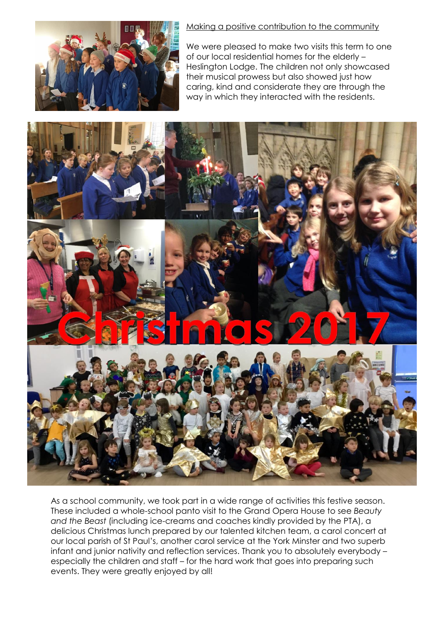

#### Making a positive contribution to the community

We were pleased to make two visits this term to one of our local residential homes for the elderly – Heslington Lodge. The children not only showcased their musical prowess but also showed just how caring, kind and considerate they are through the way in which they interacted with the residents.



As a school community, we took part in a wide range of activities this festive season. These included a whole-school panto visit to the Grand Opera House to see *Beauty and the Beast* (including ice-creams and coaches kindly provided by the PTA), a delicious Christmas lunch prepared by our talented kitchen team, a carol concert at our local parish of St Paul's, another carol service at the York Minster and two superb infant and junior nativity and reflection services. Thank you to absolutely everybody – especially the children and staff – for the hard work that goes into preparing such events. They were greatly enjoyed by all!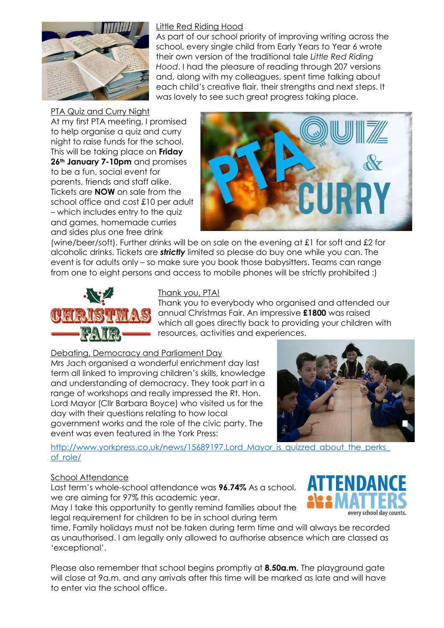

### Little Red Riding Hood

As part of our school priority of improving writing across the school, every single child from Early Years to Year 6 wrote their own version of the traditional tale *Little Red Riding Hood*. I had the pleasure of reading through 207 versions and, along with my colleagues, spent time talking about each child's creative flair, their strengths and next steps. It was lovely to see such great progress taking place.

#### PTA Quiz and Curry Night

At my first PTA meeting, I promised to help organise a quiz and curry night to raise funds for the school. This will be taking place on **Friday 26th January 7-10pm** and promises to be a fun, social event for parents, friends and staff alike. Tickets are **NOW** on sale from the school office and cost £10 per adult – which includes entry to the quiz and games, homemade curries and sides plus one free drink



(wine/beer/soft). Further drinks will be on sale on the evening at £1 for soft and £2 for alcoholic drinks. Tickets are *strictly* limited so please do buy one while you can. The event is for adults only – so make sure you book those babysitters. Teams can range from one to eight persons and access to mobile phones will be strictly prohibited :)



### Thank you, PTA!

Thank you to everybody who organised and attended our annual Christmas Fair. An impressive **£1800** was raised which all goes directly back to providing your children with resources, activities and experiences.

Debating, Democracy and Parliament Day

Mrs Jach organised a wonderful enrichment day last term all linked to improving children's skills, knowledge and understanding of democracy. They took part in a range of workshops and really impressed the Rt. Hon. Lord Mayor (Cllr Barbara Boyce) who visited us for the day with their questions relating to how local government works and the role of the civic party. The event was even featured in the York Press:



http://www.yorkpress.co.uk/news/15689197.Lord Mayor is quizzed about the perks [of\\_role/](http://www.yorkpress.co.uk/news/15689197.Lord_Mayor_is_quizzed_about_the_perks_of_role/)

#### School Attendance

Last term's whole-school attendance was **96.74%** As a school, we are aiming for 97% this academic year.

May I take this opportunity to gently remind families about the legal requirement for children to be in school during term

time. Family holidays must not be taken during term time and will always be recorded as unauthorised. I am legally only allowed to authorise absence which are classed as 'exceptional'.

Please also remember that school begins promptly at **8.50a.m.** The playground gate will close at 9a.m. and any arrivals after this time will be marked as late and will have to enter via the school office.